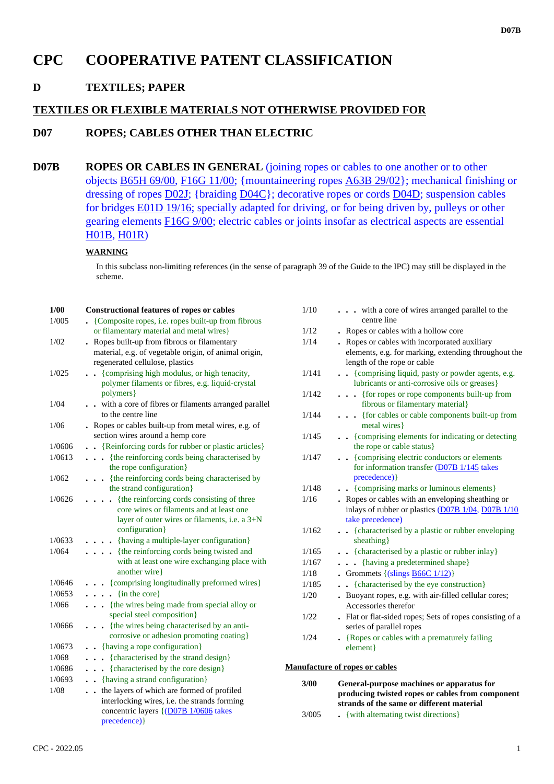# **CPC COOPERATIVE PATENT CLASSIFICATION**

## **D TEXTILES; PAPER**

## **TEXTILES OR FLEXIBLE MATERIALS NOT OTHERWISE PROVIDED FOR**

## **D07 ROPES; CABLES OTHER THAN ELECTRIC**

**D07B ROPES OR CABLES IN GENERAL** (joining ropes or cables to one another or to other objects B65H 69/00, F16G 11/00; {mountaineering ropes A63B 29/02}; mechanical finishing or dressing of ropes D02J; {braiding D04C}; decorative ropes or cords D04D; suspension cables for bridges E01D 19/16; specially adapted for driving, or for being driven by, pulleys or other gearing elements F16G 9/00; electric cables or joints insofar as electrical aspects are essential H01B, H01R)

### **WARNING**

In this subclass non-limiting references (in the sense of paragraph 39 of the Guide to the IPC) may still be displayed in the scheme.

| 1/00   | <b>Constructional features of ropes or cables</b>                                      | 1/10  | . with a core of wires arranged parallel to the                                                          |
|--------|----------------------------------------------------------------------------------------|-------|----------------------------------------------------------------------------------------------------------|
| 1/005  | • {Composite ropes, i.e. ropes built-up from fibrous                                   |       | centre line                                                                                              |
|        | or filamentary material and metal wires}                                               | 1/12  | . Ropes or cables with a hollow core                                                                     |
| 1/02   | . Ropes built-up from fibrous or filamentary                                           | 1/14  | . Ropes or cables with incorporated auxiliary                                                            |
|        | material, e.g. of vegetable origin, of animal origin,                                  |       | elements, e.g. for marking, extending throughout the                                                     |
|        | regenerated cellulose, plastics                                                        |       | length of the rope or cable                                                                              |
| 1/025  | . {comprising high modulus, or high tenacity,                                          | 1/141 | • · {comprising liquid, pasty or powder agents, e.g.                                                     |
|        | polymer filaments or fibres, e.g. liquid-crystal                                       |       | lubricants or anti-corrosive oils or greases}                                                            |
|        | polymers }                                                                             | 1/142 | {for ropes or rope components built-up from                                                              |
| 1/04   | . . with a core of fibres or filaments arranged parallel                               |       | fibrous or filamentary material}                                                                         |
|        | to the centre line                                                                     | 1/144 | . {for cables or cable components built-up from                                                          |
| 1/06   | . Ropes or cables built-up from metal wires, e.g. of                                   |       | metal wires }                                                                                            |
|        | section wires around a hemp core                                                       | 1/145 | . {comprising elements for indicating or detecting                                                       |
| 1/0606 | . {Reinforcing cords for rubber or plastic articles}                                   |       | the rope or cable status}                                                                                |
| 1/0613 | {the reinforcing cords being characterised by                                          | 1/147 | . {comprising electric conductors or elements                                                            |
|        | the rope configuration}                                                                |       | for information transfer $(D07B1/145)$ takes                                                             |
| 1/062  | . {the reinforcing cords being characterised by                                        | 1/148 | precedence) }                                                                                            |
|        | the strand configuration}                                                              |       | . {comprising marks or luminous elements}                                                                |
| 1/0626 | {the reinforcing cords consisting of three<br>core wires or filaments and at least one | 1/16  | • Ropes or cables with an enveloping sheathing or<br>inlays of rubber or plastics $(D07B1/04, D07B1/10)$ |
|        | layer of outer wires or filaments, i.e. a 3+N                                          |       | take precedence)                                                                                         |
|        | configuration}                                                                         | 1/162 | . {characterised by a plastic or rubber enveloping                                                       |
| 1/0633 | . {having a multiple-layer configuration}                                              |       | sheathing}                                                                                               |
| 1/064  | {the reinforcing cords being twisted and                                               | 1/165 | . {characterised by a plastic or rubber inlay}                                                           |
|        | with at least one wire exchanging place with                                           | 1/167 | {having a predetermined shape}                                                                           |
|        | another wire                                                                           | 1/18  | • Grommets $\{(\text{slings } \underline{\text{B66C } 1/12})\}$                                          |
| 1/0646 | {comprising longitudinally preformed wires}                                            | 1/185 | {characterised by the eye construction}                                                                  |
| 1/0653 | $\ldots$ (in the core)                                                                 | 1/20  | . Buoyant ropes, e.g. with air-filled cellular cores;                                                    |
| 1/066  | {the wires being made from special alloy or                                            |       | Accessories therefor                                                                                     |
|        | special steel composition}                                                             | 1/22  | . Flat or flat-sided ropes; Sets of ropes consisting of a                                                |
| 1/0666 | . {the wires being characterised by an anti-                                           |       | series of parallel ropes                                                                                 |
|        | corrosive or adhesion promoting coating}                                               | 1/24  | • {Ropes or cables with a prematurely failing                                                            |
| 1/0673 | . {having a rope configuration}                                                        |       | element}                                                                                                 |
| 1/068  | . {characterised by the strand design}                                                 |       |                                                                                                          |
| 1/0686 | {characterised by the core design}                                                     |       | <b>Manufacture of ropes or cables</b>                                                                    |
| 1/0693 | . {having a strand configuration}                                                      |       |                                                                                                          |
| 1/08   | . . the layers of which are formed of profiled                                         | 3/00  | General-purpose machines or apparatus for<br>producing twisted ropes or cables from component            |
|        | interlocking wires, i.e. the strands forming                                           |       | strands of the same or different material                                                                |
|        | concentric layers {(D07B 1/0606 takes                                                  | 3/005 | • {with alternating twist directions}                                                                    |
|        | precedence) }                                                                          |       |                                                                                                          |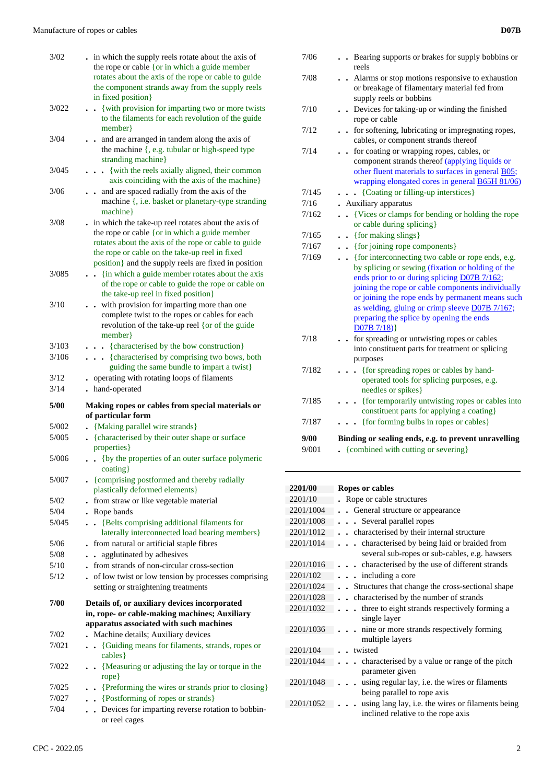| 3/02          | in which the supply reels rotate about the axis of<br>the rope or cable {or in which a guide member<br>rotates about the axis of the rope or cable to guide<br>the component strands away from the supply reels<br>in fixed position}                                  |
|---------------|------------------------------------------------------------------------------------------------------------------------------------------------------------------------------------------------------------------------------------------------------------------------|
| 3/022         | {with provision for imparting two or more twists<br>$\ddot{\phantom{a}}$<br>to the filaments for each revolution of the guide<br>member }                                                                                                                              |
| 3/04          | . and are arranged in tandem along the axis of<br>the machine {, e.g. tubular or high-speed type<br>stranding machine}                                                                                                                                                 |
| 3/045         | . { with the reels axially aligned, their common<br>axis coinciding with the axis of the machine}                                                                                                                                                                      |
| 3/06          | and are spaced radially from the axis of the<br>$\ddot{\phantom{a}}$<br>machine {, i.e. basket or planetary-type stranding<br>machine}                                                                                                                                 |
| 3/08          | in which the take-up reel rotates about the axis of<br>the rope or cable {or in which a guide member<br>rotates about the axis of the rope or cable to guide<br>the rope or cable on the take-up reel in fixed<br>position} and the supply reels are fixed in position |
| 3/085         | {in which a guide member rotates about the axis<br>of the rope or cable to guide the rope or cable on<br>the take-up reel in fixed position}                                                                                                                           |
| 3/10          | with provision for imparting more than one<br>complete twist to the ropes or cables for each<br>revolution of the take-up reel {or of the guide<br>member }                                                                                                            |
| 3/103         | . {characterised by the bow construction}                                                                                                                                                                                                                              |
| 3/106         | {characterised by comprising two bows, both<br>guiding the same bundle to impart a twist}                                                                                                                                                                              |
| 3/12          |                                                                                                                                                                                                                                                                        |
|               | operating with rotating loops of filaments                                                                                                                                                                                                                             |
| 3/14          | hand-operated                                                                                                                                                                                                                                                          |
| 5/00          | Making ropes or cables from special materials or<br>of particular form                                                                                                                                                                                                 |
| 5/002         | {Making parallel wire strands}                                                                                                                                                                                                                                         |
| 5/005         | . {characterised by their outer shape or surface<br>properties}                                                                                                                                                                                                        |
| 5/006         | {by the properties of an outer surface polymeric<br>$\text{coating}$                                                                                                                                                                                                   |
| 5/007         | • {comprising postformed and thereby radially<br>plastically deformed elements}                                                                                                                                                                                        |
| 5/02          | from straw or like vegetable material                                                                                                                                                                                                                                  |
| 5/04          | . Rope bands                                                                                                                                                                                                                                                           |
| 5/045         | • {Belts comprising additional filaments for<br>laterally interconnected load bearing members}                                                                                                                                                                         |
| 5/06          | from natural or artificial staple fibres                                                                                                                                                                                                                               |
| 5/08          | agglutinated by adhesives<br>$\ddot{\phantom{a}}$                                                                                                                                                                                                                      |
| 5/10          | from strands of non-circular cross-section                                                                                                                                                                                                                             |
| 5/12          | of low twist or low tension by processes comprising<br>setting or straightening treatments                                                                                                                                                                             |
| 7/00          | Details of, or auxiliary devices incorporated<br>in, rope- or cable-making machines; Auxiliary<br>apparatus associated with such machines                                                                                                                              |
| 7/02          | Machine details; Auxiliary devices                                                                                                                                                                                                                                     |
| 7/021         | {Guiding means for filaments, strands, ropes or<br>$\ddot{\phantom{a}}$<br>cables }                                                                                                                                                                                    |
| 7/022         | {Measuring or adjusting the lay or torque in the<br>rope                                                                                                                                                                                                               |
| 7/025         | {Preforming the wires or strands prior to closing}<br>$\bullet$                                                                                                                                                                                                        |
| 7/027<br>7/04 | {Postforming of ropes or strands}<br>$\bullet$<br>Devices for imparting reverse rotation to bobbin-                                                                                                                                                                    |

| 7/06  | Bearing supports or brakes for supply bobbins or<br>reels                                                                                                                                            |
|-------|------------------------------------------------------------------------------------------------------------------------------------------------------------------------------------------------------|
| 7/08  | . Alarms or stop motions responsive to exhaustion<br>or breakage of filamentary material fed from<br>supply reels or bobbins                                                                         |
| 7/10  | Devices for taking-up or winding the finished<br>rope or cable                                                                                                                                       |
| 7/12  | for softening, lubricating or impregnating ropes,<br>cables, or component strands thereof                                                                                                            |
| 7/14  | for coating or wrapping ropes, cables, or<br>component strands thereof (applying liquids or<br>other fluent materials to surfaces in general B05;<br>wrapping elongated cores in general B65H 81/06) |
| 7/145 | $\ldots$ {Coating or filling-up interstices}                                                                                                                                                         |

7/16 **.** Auxiliary apparatus

- 7/162 **. .** {Vices or clamps for bending or holding the rope or cable during splicing}
- 7/165 **. .** {for making slings}
- 7/167 **. .** {for joining rope components}
- 7/169 **. .** {for interconnecting two cable or rope ends, e.g. by splicing or sewing (fixation or holding of the ends prior to or during splicing D07B 7/162; joining the rope or cable components individually or joining the rope ends by permanent means such as welding, gluing or crimp sleeve D07B 7/167; preparing the splice by opening the ends D07B 7/18)} 7/18 **. .** for spreading or untwisting ropes or cables into constituent parts for treatment or splicing purposes 7/182 **. . .** {for spreading ropes or cables by handoperated tools for splicing purposes, e.g.

|       | needles or spikes }                              |
|-------|--------------------------------------------------|
| 7/185 | {for temporarily untwisting ropes or cables into |
|       | constituent parts for applying a coating.        |
| 7/187 | {for forming bulbs in ropes or cables}           |
|       |                                                  |

 **9/00 Binding or sealing ends, e.g. to prevent unravelling** 9/001 **.** {combined with cutting or severing}

#### **2201/00 Ropes or cables** 2201/10 **.** Rope or cable structures 2201/1004 **. .** General structure or appearance 2201/1008 **. . .** Several parallel ropes 2201/1012 **. .** characterised by their internal structure 2201/1014 **. . .** characterised by being laid or braided from several sub-ropes or sub-cables, e.g. hawsers 2201/1016 **. . .** characterised by the use of different strands 2201/102 **. . .** including a core 2201/1024 **. .** Structures that change the cross-sectional shape 2201/1028 **. .** characterised by the number of strands 2201/1032 **. . .** three to eight strands respectively forming a single layer 2201/1036 **. . .** nine or more strands respectively forming multiple layers 2201/104 **. .** twisted 2201/1044 **. . .** characterised by a value or range of the pitch parameter given 2201/1048 **. . .** using regular lay, i.e. the wires or filaments being parallel to rope axis 2201/1052 **. . .** using lang lay, i.e. the wires or filaments being inclined relative to the rope axis

or reel cages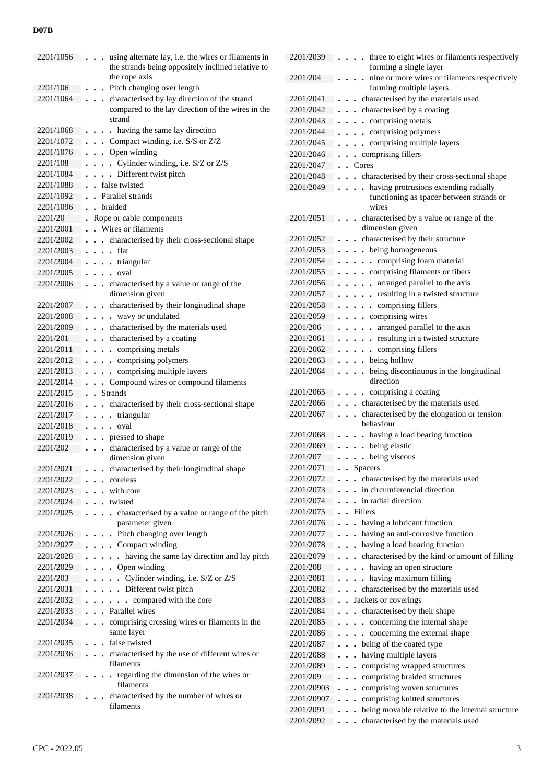| 2201/1056              | using alternate lay, i.e. the wires or filaments in<br>the strands being oppositely inclined relative to<br>the rope axis |
|------------------------|---------------------------------------------------------------------------------------------------------------------------|
| 2201/106               | Pitch changing over length                                                                                                |
| 2201/1064              | characterised by lay direction of the strand                                                                              |
|                        | compared to the lay direction of the wires in the<br>strand                                                               |
| 2201/1068              | . having the same lay direction<br>$\bullet$                                                                              |
| 2201/1072              | . Compact winding, i.e. S/S or Z/Z                                                                                        |
| 2201/1076              | . . Open winding                                                                                                          |
| 2201/108               | . Cylinder winding, i.e. S/Z or Z/S                                                                                       |
| 2201/1084              | . Different twist pitch                                                                                                   |
| 2201/1088              | . false twisted                                                                                                           |
| 2201/1092              | . Parallel strands                                                                                                        |
| 2201/1096              | . braided                                                                                                                 |
| 2201/20                | Rope or cable components                                                                                                  |
| 2201/2001              | . Wires or filaments                                                                                                      |
| 2201/2002              | . characterised by their cross-sectional shape                                                                            |
| 2201/2003              | flat<br>$\ddots$                                                                                                          |
| 2201/2004              | . triangular                                                                                                              |
| 2201/2005              | $\cdots$ oval                                                                                                             |
| 2201/2006              | characterised by a value or range of the                                                                                  |
|                        | dimension given                                                                                                           |
| 2201/2007              | . characterised by their longitudinal shape                                                                               |
| 2201/2008              | $\cdots$ $\cdots$ wavy or undulated                                                                                       |
| 2201/2009              | . . characterised by the materials used                                                                                   |
| 2201/201               | characterised by a coating<br>$\ddot{\phantom{0}}$                                                                        |
| 2201/2011              | . . comprising metals                                                                                                     |
| 2201/2012              | . comprising polymers                                                                                                     |
| 2201/2013              | . comprising multiple layers                                                                                              |
| 2201/2014              | . Compound wires or compound filaments                                                                                    |
| 2201/2015              | . Strands                                                                                                                 |
| 2201/2016<br>2201/2017 | characterised by their cross-sectional shape<br>$\ddot{\phantom{0}}$<br>triangular                                        |
| 2201/2018              | $\sim$ $\sim$<br>. . oval<br>$\bullet$                                                                                    |
| 2201/2019              | • pressed to shape<br>$\bullet$                                                                                           |
| 2201/202               | characterised by a value or range of the                                                                                  |
| 2201/2021              | dimension given<br>characterised by their longitudinal shape                                                              |
| 2201/2022              | coreless                                                                                                                  |
| 2201/2023              | $\ddot{\phantom{0}}$<br>with core                                                                                         |
| 2201/2024              | . . twisted                                                                                                               |
| 2201/2025              | characterised by a value or range of the pitch                                                                            |
| 2201/2026              | parameter given<br>. Pitch changing over length                                                                           |
| 2201/2027              | . Compact winding                                                                                                         |
| 2201/2028              | having the same lay direction and lay pitch<br>$\ddot{\phantom{a}}$                                                       |
| 2201/2029              | Open winding<br>$\ddot{\phantom{0}}$                                                                                      |
| 2201/203               | • Cylinder winding, i.e. S/Z or Z/S<br>$\bullet$                                                                          |
| 2201/2031              | . Different twist pitch<br>$\cdots$                                                                                       |
| 2201/2032              | . . compared with the core<br>$\ddot{\phantom{0}}$<br>$\bullet$                                                           |
| 2201/2033              | . . Parallel wires                                                                                                        |
| 2201/2034              | comprising crossing wires or filaments in the<br>$\ddot{\phantom{a}}$                                                     |
|                        | same layer                                                                                                                |
| 2201/2035              | false twisted                                                                                                             |
| 2201/2036              | characterised by the use of different wires or<br>filaments                                                               |
| 2201/2037              | . regarding the dimension of the wires or<br>filaments                                                                    |
| 2201/2038              | characterised by the number of wires or                                                                                   |
|                        | filaments                                                                                                                 |

| 2201/2039  | three to eight wires or filaments respectively<br>$\ddotsc$                                                                                                                                                                                                                                                                                                                                                                                                                                |
|------------|--------------------------------------------------------------------------------------------------------------------------------------------------------------------------------------------------------------------------------------------------------------------------------------------------------------------------------------------------------------------------------------------------------------------------------------------------------------------------------------------|
|            | forming a single layer                                                                                                                                                                                                                                                                                                                                                                                                                                                                     |
| 2201/204   | nine or more wires or filaments respectively<br>forming multiple layers                                                                                                                                                                                                                                                                                                                                                                                                                    |
| 2201/2041  | . characterised by the materials used                                                                                                                                                                                                                                                                                                                                                                                                                                                      |
| 2201/2042  | . characterised by a coating                                                                                                                                                                                                                                                                                                                                                                                                                                                               |
| 2201/2043  |                                                                                                                                                                                                                                                                                                                                                                                                                                                                                            |
|            | comprising metals                                                                                                                                                                                                                                                                                                                                                                                                                                                                          |
| 2201/2044  | comprising polymers                                                                                                                                                                                                                                                                                                                                                                                                                                                                        |
| 2201/2045  | comprising multiple layers                                                                                                                                                                                                                                                                                                                                                                                                                                                                 |
| 2201/2046  | . . comprising fillers                                                                                                                                                                                                                                                                                                                                                                                                                                                                     |
| 2201/2047  | $\blacksquare$ $\blacksquare$ $\blacksquare$ $\blacksquare$ $\blacksquare$ $\blacksquare$ $\blacksquare$ $\blacksquare$ $\blacksquare$ $\blacksquare$ $\blacksquare$ $\blacksquare$ $\blacksquare$ $\blacksquare$ $\blacksquare$ $\blacksquare$ $\blacksquare$ $\blacksquare$ $\blacksquare$ $\blacksquare$ $\blacksquare$ $\blacksquare$ $\blacksquare$ $\blacksquare$ $\blacksquare$ $\blacksquare$ $\blacksquare$ $\blacksquare$ $\blacksquare$ $\blacksquare$ $\blacksquare$ $\blacks$ |
| 2201/2048  | characterised by their cross-sectional shape<br>$\ddotsc$                                                                                                                                                                                                                                                                                                                                                                                                                                  |
| 2201/2049  | having protrusions extending radially<br>$\cdots$                                                                                                                                                                                                                                                                                                                                                                                                                                          |
|            | functioning as spacer between strands or                                                                                                                                                                                                                                                                                                                                                                                                                                                   |
|            | wires                                                                                                                                                                                                                                                                                                                                                                                                                                                                                      |
| 2201/2051  | characterised by a value or range of the<br>$\ddot{\phantom{0}}$                                                                                                                                                                                                                                                                                                                                                                                                                           |
|            | dimension given                                                                                                                                                                                                                                                                                                                                                                                                                                                                            |
| 2201/2052  | . characterised by their structure                                                                                                                                                                                                                                                                                                                                                                                                                                                         |
| 2201/2053  | . being homogeneous                                                                                                                                                                                                                                                                                                                                                                                                                                                                        |
| 2201/2054  | . comprising foam material                                                                                                                                                                                                                                                                                                                                                                                                                                                                 |
| 2201/2055  | . comprising filaments or fibers                                                                                                                                                                                                                                                                                                                                                                                                                                                           |
| 2201/2056  | • arranged parallel to the axis<br>$\ddots$                                                                                                                                                                                                                                                                                                                                                                                                                                                |
| 2201/2057  | . resulting in a twisted structure                                                                                                                                                                                                                                                                                                                                                                                                                                                         |
| 2201/2058  | $\cdots$ $\cdots$ comprising fillers                                                                                                                                                                                                                                                                                                                                                                                                                                                       |
| 2201/2059  | comprising wires                                                                                                                                                                                                                                                                                                                                                                                                                                                                           |
| 2201/206   | • arranged parallel to the axis<br>$\ddotsc$                                                                                                                                                                                                                                                                                                                                                                                                                                               |
| 2201/2061  | . resulting in a twisted structure                                                                                                                                                                                                                                                                                                                                                                                                                                                         |
| 2201/2062  | . . comprising fillers                                                                                                                                                                                                                                                                                                                                                                                                                                                                     |
| 2201/2063  | being hollow<br>.                                                                                                                                                                                                                                                                                                                                                                                                                                                                          |
| 2201/2064  | being discontinuous in the longitudinal<br>$\ddot{\phantom{0}}$                                                                                                                                                                                                                                                                                                                                                                                                                            |
|            | direction                                                                                                                                                                                                                                                                                                                                                                                                                                                                                  |
| 2201/2065  | . . comprising a coating                                                                                                                                                                                                                                                                                                                                                                                                                                                                   |
| 2201/2066  | . characterised by the materials used                                                                                                                                                                                                                                                                                                                                                                                                                                                      |
| 2201/2067  | characterised by the elongation or tension<br>$\ddot{\phantom{0}}$                                                                                                                                                                                                                                                                                                                                                                                                                         |
|            | behaviour                                                                                                                                                                                                                                                                                                                                                                                                                                                                                  |
| 2201/2068  | . having a load bearing function                                                                                                                                                                                                                                                                                                                                                                                                                                                           |
| 2201/2069  | . being elastic<br>$\ddot{\phantom{0}}$                                                                                                                                                                                                                                                                                                                                                                                                                                                    |
| 2201/207   | . . being viscous<br>$\ddot{\phantom{0}}$<br>$\ddot{\phantom{0}}$                                                                                                                                                                                                                                                                                                                                                                                                                          |
| 2201/2071  | . Spacers                                                                                                                                                                                                                                                                                                                                                                                                                                                                                  |
| 2201/2072  | characterised by the materials used<br>$\ddot{\phantom{a}}$                                                                                                                                                                                                                                                                                                                                                                                                                                |
| 2201/2073  | in circumferencial direction<br>$\mathbf{r}$                                                                                                                                                                                                                                                                                                                                                                                                                                               |
| 2201/2074  | in radial direction<br>$\sim$ $\sim$                                                                                                                                                                                                                                                                                                                                                                                                                                                       |
| 2201/2075  | . Fillers                                                                                                                                                                                                                                                                                                                                                                                                                                                                                  |
| 2201/2076  | $\ddot{\phantom{a}}$<br>having a lubricant function<br>$\ddot{\phantom{a}}$                                                                                                                                                                                                                                                                                                                                                                                                                |
| 2201/2077  | having an anti-corrosive function<br>$\ddot{\phantom{a}}$                                                                                                                                                                                                                                                                                                                                                                                                                                  |
| 2201/2078  | having a load bearing function<br>$\ddot{\phantom{0}}$                                                                                                                                                                                                                                                                                                                                                                                                                                     |
| 2201/2079  | characterised by the kind or amount of filling<br>$\ddot{\phantom{0}}$                                                                                                                                                                                                                                                                                                                                                                                                                     |
| 2201/208   | having an open structure<br>$\ddot{\phantom{a}}$                                                                                                                                                                                                                                                                                                                                                                                                                                           |
| 2201/2081  | having maximum filling<br>$\ddot{\phantom{a}}$<br>$\ddot{\phantom{0}}$                                                                                                                                                                                                                                                                                                                                                                                                                     |
| 2201/2082  | characterised by the materials used<br>$\ddot{\phantom{a}}$                                                                                                                                                                                                                                                                                                                                                                                                                                |
| 2201/2083  | Jackets or coverings<br>$\ddot{\phantom{0}}$                                                                                                                                                                                                                                                                                                                                                                                                                                               |
| 2201/2084  | characterised by their shape<br>$\ddot{\phantom{0}}$                                                                                                                                                                                                                                                                                                                                                                                                                                       |
| 2201/2085  | concerning the internal shape<br>$\ddot{\phantom{a}}$                                                                                                                                                                                                                                                                                                                                                                                                                                      |
| 2201/2086  | concerning the external shape<br>$\ddot{\phantom{a}}$<br>$\ddot{\phantom{0}}$                                                                                                                                                                                                                                                                                                                                                                                                              |
| 2201/2087  | being of the coated type<br>$\ddot{\phantom{a}}$<br>$\ddot{\phantom{0}}$                                                                                                                                                                                                                                                                                                                                                                                                                   |
| 2201/2088  | having multiple layers<br>$\ddot{\phantom{0}}$<br>$\ddot{\phantom{0}}$                                                                                                                                                                                                                                                                                                                                                                                                                     |
| 2201/2089  | comprising wrapped structures<br>$\ddot{\phantom{0}}$                                                                                                                                                                                                                                                                                                                                                                                                                                      |
| 2201/209   | comprising braided structures<br>$\ddot{\phantom{0}}$                                                                                                                                                                                                                                                                                                                                                                                                                                      |
| 2201/20903 | comprising woven structures<br>$\ddot{\phantom{0}}$                                                                                                                                                                                                                                                                                                                                                                                                                                        |
| 2201/20907 | comprising knitted structures<br>$\ddot{\phantom{0}}$<br>$\blacksquare$                                                                                                                                                                                                                                                                                                                                                                                                                    |
| 2201/2091  | being movable relative to the internal structure<br>$\ddot{\phantom{0}}$                                                                                                                                                                                                                                                                                                                                                                                                                   |
| 2201/2092  | characterised by the materials used                                                                                                                                                                                                                                                                                                                                                                                                                                                        |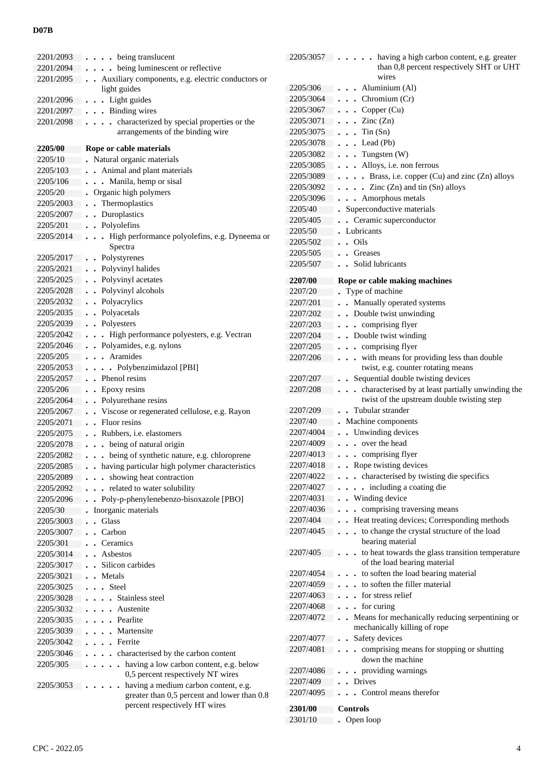| 2201/2093 | being translucent                                                       |
|-----------|-------------------------------------------------------------------------|
| 2201/2094 | being luminescent or reflective                                         |
| 2201/2095 | Auxiliary components, e.g. electric conductors or                       |
|           | light guides                                                            |
| 2201/2096 | . . Light guides                                                        |
| 2201/2097 | . Binding wires                                                         |
| 2201/2098 | characterized by special properties or the<br>$\ddot{\phantom{a}}$      |
|           | arrangements of the binding wire                                        |
|           |                                                                         |
| 2205/00   | Rope or cable materials                                                 |
| 2205/10   | Natural organic materials                                               |
| 2205/103  | Animal and plant materials                                              |
| 2205/106  | . Manila, hemp or sisal                                                 |
| 2205/20   | Organic high polymers                                                   |
| 2205/2003 | . Thermoplastics                                                        |
| 2205/2007 | Duroplastics<br>$\ddot{\phantom{0}}$                                    |
| 2205/201  | Polyolefins                                                             |
| 2205/2014 | High performance polyolefins, e.g. Dyneema or                           |
|           | Spectra                                                                 |
| 2205/2017 | • Polystyrenes                                                          |
| 2205/2021 | • Polyvinyl halides                                                     |
| 2205/2025 | • Polyvinyl acetates                                                    |
| 2205/2028 | • Polyvinyl alcohols                                                    |
| 2205/2032 | • Polyacrylics                                                          |
| 2205/2035 | • Polyacetals                                                           |
| 2205/2039 | • Polyesters                                                            |
| 2205/2042 | . High performance polyesters, e.g. Vectran                             |
| 2205/2046 | . . Polyamides, e.g. nylons                                             |
| 2205/205  | . Aramides                                                              |
| 2205/2053 | . . Polybenzimidazol [PBI]                                              |
| 2205/2057 | . Phenol resins                                                         |
| 2205/206  | • Epoxy resins                                                          |
| 2205/2064 | • Polyurethane resins                                                   |
| 2205/2067 | . Viscose or regenerated cellulose, e.g. Rayon                          |
| 2205/2071 | . Fluor resins                                                          |
| 2205/2075 | Rubbers, <i>i.e.</i> elastomers<br>$\ddot{\phantom{0}}$                 |
| 2205/2078 | being of natural origin<br>$\ddot{\phantom{0}}$<br>$\ddot{\phantom{0}}$ |
| 2205/2082 | being of synthetic nature, e.g. chloroprene<br>$\ddot{\phantom{0}}$     |
| 2205/2085 | having particular high polymer characteristics                          |
| 2205/2089 | showing heat contraction                                                |
| 2205/2092 | related to water solubility                                             |
| 2205/2096 | Poly-p-phenylenebenzo-bisoxazole [PBO]                                  |
| 2205/30   | Inorganic materials                                                     |
| 2205/3003 | Glass                                                                   |
| 2205/3007 | Carbon                                                                  |
| 2205/301  | Ceramics                                                                |
| 2205/3014 | Asbestos                                                                |
|           | Silicon carbides                                                        |
| 2205/3017 |                                                                         |
| 2205/3021 | Metals                                                                  |
| 2205/3025 | . Steel                                                                 |
| 2205/3028 | Stainless steel                                                         |
| 2205/3032 | Austenite                                                               |
| 2205/3035 | Pearlite                                                                |
| 2205/3039 | Martensite                                                              |
| 2205/3042 | Ferrite                                                                 |
| 2205/3046 | characterised by the carbon content<br>$\ddot{\phantom{0}}$             |
| 2205/305  | having a low carbon content, e.g. below<br>$\ddot{\phantom{a}}$         |
|           | 0,5 percent respectively NT wires                                       |
| 2205/3053 | having a medium carbon content, e.g.                                    |
|           | greater than 0,5 percent and lower than 0.8                             |
|           | percent respectively HT wires                                           |

| 2205/3057      | having a high carbon content, e.g. greater                               |
|----------------|--------------------------------------------------------------------------|
|                | than 0,8 percent respectively SHT or UHT                                 |
|                | wires                                                                    |
| 2205/306       | Aluminium (Al)                                                           |
| 2205/3064      | Chromium (Cr)<br>$\ddot{\phantom{0}}$                                    |
| 2205/3067      | Copper (Cu)                                                              |
| 2205/3071      | $\cdot$ Zinc (Zn)                                                        |
| 2205/3075      | $T$ in $(Sn)$<br>$\bullet$                                               |
| 2205/3078      | Lead(Pb)                                                                 |
| 2205/3082      | Tungsten (W)<br>$\ddot{\phantom{0}}$                                     |
| 2205/3085      | Alloys, i.e. non ferrous                                                 |
| 2205/3089      | . Brass, i.e. copper (Cu) and zinc (Zn) alloys                           |
| 2205/3092      | $\bullet$ Zinc (Zn) and tin (Sn) alloys                                  |
| 2205/3096      | Amorphous metals                                                         |
| 2205/40        | Superconductive materials                                                |
| 2205/405       | Ceramic superconductor                                                   |
| 2205/50        | Lubricants                                                               |
| 2205/502       | . Oils                                                                   |
| 2205/505       | Greases<br>$\mathbf{r}$                                                  |
| 2205/507       | Solid lubricants<br>$\ddot{\phantom{a}}$                                 |
|                |                                                                          |
| 2207/00        | Rope or cable making machines                                            |
| 2207/20        | Type of machine                                                          |
| 2207/201       | Manually operated systems<br>$\ddot{\phantom{0}}$                        |
| 2207/202       | Double twist unwinding<br>$\ddot{\phantom{a}}$                           |
| 2207/203       | comprising flyer<br>$\ddot{\phantom{0}}$                                 |
| 2207/204       | Double twist winding                                                     |
| 2207/205       | comprising flyer<br>$\ddot{\phantom{a}}$                                 |
| 2207/206       | with means for providing less than double<br>$\ddot{\phantom{a}}$        |
|                | twist, e.g. counter rotating means                                       |
| 2207/207       | Sequential double twisting devices                                       |
| 2207/208       | characterised by at least partially unwinding the                        |
|                | twist of the upstream double twisting step                               |
| 2207/209       | Tubular strander                                                         |
| 2207/40        | Machine components                                                       |
| 2207/4004      | Unwinding devices                                                        |
| 2207/4009      | over the head                                                            |
| 2207/4013      | comprising flyer                                                         |
| 2207/4018      | Rope twisting devices                                                    |
| 2207/4022      | . . characterised by twisting die specifics                              |
| 2207/4027      | including a coating die                                                  |
| 2207/4031      | . Winding device                                                         |
| 2207/4036      | • comprising traversing means                                            |
| 2207/404       | Heat treating devices; Corresponding methods<br>$\ddot{\phantom{0}}$     |
| 2207/4045      | to change the crystal structure of the load<br>$\ddot{\phantom{a}}$      |
|                | bearing material                                                         |
| 2207/405       | to heat towards the glass transition temperature<br>$\ddot{\phantom{a}}$ |
|                | of the load bearing material                                             |
| 2207/4054      | to soften the load bearing material<br>$\bullet$                         |
| 2207/4059      | to soften the filler material                                            |
| 2207/4063      | for stress relief                                                        |
| 2207/4068      | for curing                                                               |
| 2207/4072      | Means for mechanically reducing serpentining or                          |
|                | mechanically killing of rope                                             |
| 2207/4077      | Safety devices                                                           |
| 2207/4081      | comprising means for stopping or shutting                                |
|                | down the machine                                                         |
| 2207/4086      | • providing warnings                                                     |
| 2207/409       | Drives<br>$\ddot{\phantom{0}}$                                           |
| 2207/4095      | • Control means therefor                                                 |
| <b>2301/00</b> | Controls                                                                 |
| 2301/10        | Open loop                                                                |
|                |                                                                          |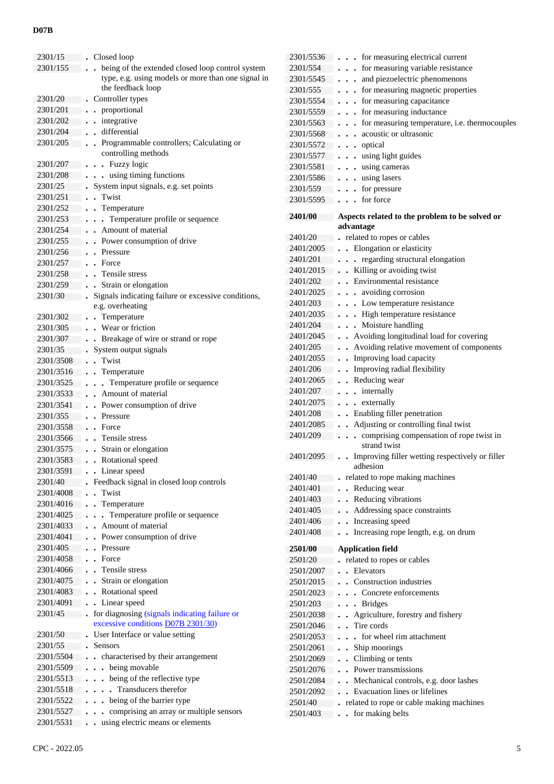| 2301/15   | Closed loop                                                                                                 |
|-----------|-------------------------------------------------------------------------------------------------------------|
| 2301/155  | being of the extended closed loop control system<br>$\overline{a}$                                          |
|           | type, e.g. using models or more than one signal in                                                          |
|           | the feedback loop                                                                                           |
| 2301/20   | Controller types                                                                                            |
| 2301/201  | • proportional                                                                                              |
| 2301/202  | - integrative                                                                                               |
| 2301/204  | differential                                                                                                |
| 2301/205  | . Programmable controllers; Calculating or                                                                  |
|           | controlling methods                                                                                         |
| 2301/207  | . . Fuzzy logic                                                                                             |
| 2301/208  | . . using timing functions                                                                                  |
| 2301/25   | System input signals, e.g. set points                                                                       |
| 2301/251  | . Twist                                                                                                     |
| 2301/252  | . . Temperature                                                                                             |
| 2301/253  | . Temperature profile or sequence                                                                           |
| 2301/254  | Amount of material                                                                                          |
| 2301/255  | Power consumption of drive                                                                                  |
| 2301/256  | Pressure<br>$\ddot{\phantom{0}}$                                                                            |
| 2301/257  | Force<br>$\ddot{\phantom{a}}$                                                                               |
| 2301/258  | . Tensile stress                                                                                            |
| 2301/259  | Strain or elongation<br>$\ddot{\phantom{a}}$                                                                |
| 2301/30   | Signals indicating failure or excessive conditions,                                                         |
|           | $\ddot{\phantom{a}}$<br>e.g. overheating                                                                    |
| 2301/302  | • Temperature                                                                                               |
|           | . Wear or friction                                                                                          |
| 2301/305  |                                                                                                             |
| 2301/307  | . Breakage of wire or strand or rope                                                                        |
| 2301/35   | System output signals                                                                                       |
| 2301/3508 | Twist                                                                                                       |
| 2301/3516 | Temperature                                                                                                 |
| 2301/3525 | Temperature profile or sequence                                                                             |
| 2301/3533 | Amount of material                                                                                          |
| 2301/3541 | Power consumption of drive                                                                                  |
| 2301/355  | Pressure                                                                                                    |
| 2301/3558 | Force<br>$\overline{a}$                                                                                     |
| 2301/3566 | . Tensile stress                                                                                            |
| 2301/3575 | Strain or elongation<br>$\ddot{\phantom{a}}$                                                                |
| 2301/3583 | . Rotational speed<br>$\ddot{\phantom{0}}$                                                                  |
| 2301/3591 | • Linear speed                                                                                              |
| 2301/40   | Feedback signal in closed loop controls                                                                     |
| 2301/4008 | Twist<br>$\overline{a}$                                                                                     |
| 2301/4016 | Temperature<br>$\ddot{\phantom{0}}$                                                                         |
| 2301/4025 | . Temperature profile or sequence<br>$\ddot{\phantom{0}}$                                                   |
| 2301/4033 | Amount of material<br>$\ddot{\phantom{0}}$                                                                  |
| 2301/4041 | Power consumption of drive                                                                                  |
| 2301/405  | Pressure                                                                                                    |
| 2301/4058 | Force<br>$\ddot{\phantom{0}}$                                                                               |
| 2301/4066 | . Tensile stress                                                                                            |
| 2301/4075 | Strain or elongation<br>$\ddot{\phantom{a}}$                                                                |
| 2301/4083 | . Rotational speed                                                                                          |
| 2301/4091 | . Linear speed                                                                                              |
|           | $\ddot{\phantom{0}}$                                                                                        |
| 2301/45   | for diagnosing (signals indicating failure or<br>$\ddot{\phantom{0}}$<br>excessive conditions D07B 2301/30) |
| 2301/50   |                                                                                                             |
|           | User Interface or value setting<br>Sensors                                                                  |
| 2301/55   |                                                                                                             |
| 2301/5504 | characterised by their arrangement                                                                          |
| 2301/5509 | being movable<br>$\ddot{\phantom{a}}$                                                                       |
| 2301/5513 | being of the reflective type                                                                                |
| 2301/5518 | . Transducers therefor                                                                                      |
| 2301/5522 | being of the barrier type<br>$\ddot{\phantom{0}}$                                                           |
| 2301/5527 | comprising an array or multiple sensors                                                                     |
| 2301/5531 | using electric means or elements<br>$\ddot{\phantom{0}}$<br>$\ddot{\phantom{0}}$                            |

|               | $2301/3327$ Complising an array or multiple sensors<br>2301/5531 . using electric means or elements | $2501/403$ . for making belts |  |
|---------------|-----------------------------------------------------------------------------------------------------|-------------------------------|--|
|               |                                                                                                     |                               |  |
| CPC - 2022.05 |                                                                                                     |                               |  |

| 2301/5536             | for measuring electrical current                                                  |
|-----------------------|-----------------------------------------------------------------------------------|
| 2301/554              | for measuring variable resistance<br>$\ddot{\phantom{0}}$                         |
| 2301/5545             | and piezoelectric phenomenons<br>$\ddot{\phantom{0}}$<br>$\bullet$                |
| 2301/555              | for measuring magnetic properties<br>$\ddot{\phantom{0}}$<br>$\ddot{\phantom{0}}$ |
| 2301/5554             | for measuring capacitance<br>$\ddot{\phantom{a}}$<br>$\ddot{\phantom{a}}$         |
| 2301/5559             | - for measuring inductance<br>$\ddot{\phantom{a}}$                                |
| 2301/5563             | - for measuring temperature, i.e. thermocouples<br>$\ddot{\phantom{a}}$           |
| 2301/5568             | acoustic or ultrasonic<br>$\ddot{\phantom{0}}$                                    |
| 2301/5572             | optical<br>$\ddot{\phantom{0}}$<br>$\bullet$                                      |
| 2301/5577             | using light guides<br>$\ddot{\phantom{0}}$                                        |
| 2301/5581             | using cameras<br>$\ddot{\phantom{0}}$<br>$\bullet$                                |
| 2301/5586             | . using lasers<br>$\bullet$                                                       |
| 2301/559              | for pressure<br>$\ddot{\phantom{0}}$<br>$\cdot$                                   |
| 2301/5595             | for force<br>$\ddot{\phantom{0}}$                                                 |
|                       |                                                                                   |
| 2401/00               | Aspects related to the problem to be solved or                                    |
|                       | advantage                                                                         |
| 2401/20               | related to ropes or cables                                                        |
| 2401/2005<br>2401/201 | Elongation or elasticity<br>regarding structural elongation                       |
| 2401/2015             | Killing or avoiding twist                                                         |
| 2401/202              | $\ddot{\phantom{0}}$<br>Environmental resistance                                  |
| 2401/2025             | avoiding corrosion<br>$\mathbf{r}$                                                |
| 2401/203              | Low temperature resistance                                                        |
| 2401/2035             | High temperature resistance                                                       |
| 2401/204              | Moisture handling<br>$\ddot{\phantom{0}}$                                         |
| 2401/2045             | • Avoiding longitudinal load for covering                                         |
| 2401/205              | • Avoiding relative movement of components                                        |
| 2401/2055             | Improving load capacity<br>$\bullet$                                              |
| 2401/206              | Improving radial flexibility<br>$\ddot{\phantom{0}}$                              |
| 2401/2065             | Reducing wear<br>$\ddot{\phantom{0}}$                                             |
| 2401/207              | internally<br>$\ddot{\phantom{a}}$                                                |
| 2401/2075             | externally<br>$\ddot{\phantom{a}}$<br>$\ddot{\phantom{a}}$                        |
| 2401/208              | Enabling filler penetration<br>$\ddot{\phantom{0}}$                               |
| 2401/2085             | Adjusting or controlling final twist<br>$\ddot{\phantom{0}}$                      |
| 2401/209              | comprising compensation of rope twist in<br>$\ddot{\phantom{a}}$                  |
|                       | strand twist                                                                      |
| 2401/2095             | Improving filler wetting respectively or filler                                   |
|                       | adhesion                                                                          |
| 2401/40               | related to rope making machines                                                   |
| 2401/401              | Reducing wear                                                                     |
| 2401/403              | Reducing vibrations<br>$\overline{a}$                                             |
| 2401/405              | Addressing space constraints                                                      |
| 2401/406              | Increasing speed<br>$\cdot$                                                       |
| 2401/408              | Increasing rope length, e.g. on drum                                              |
| <b>2501/00</b>        | <b>Application field</b>                                                          |
| 2501/20               | related to ropes or cables                                                        |
| 2501/2007             | Elevators<br>$\overline{a}$                                                       |
| 2501/2015             | Construction industries<br>$\ddot{\phantom{a}}$                                   |
| 2501/2023             | • Concrete enforcements                                                           |
| 2501/203              | <b>Bridges</b><br>$\ddot{\phantom{a}}$                                            |
| 2501/2038             | Agriculture, forestry and fishery                                                 |
| 2501/2046             | Tire cords                                                                        |
| 2501/2053             | for wheel rim attachment<br>$\mathbf{r}$                                          |
| 2501/2061             | Ship moorings                                                                     |
| 2501/2069             | Climbing or tents<br>$\ddot{\phantom{0}}$                                         |
| 2501/2076             | Power transmissions<br>$\ddot{\phantom{a}}$                                       |
| 2501/2084             | Mechanical controls, e.g. door lashes<br>$\ddot{\phantom{0}}$                     |
| 2501/2092             | Evacuation lines or lifelines<br>$\ddot{\phantom{a}}$                             |
| 2501/40               | related to rope or cable making machines                                          |
| 2501/403              | for making belts<br>$\ddot{\phantom{0}}$                                          |
|                       |                                                                                   |